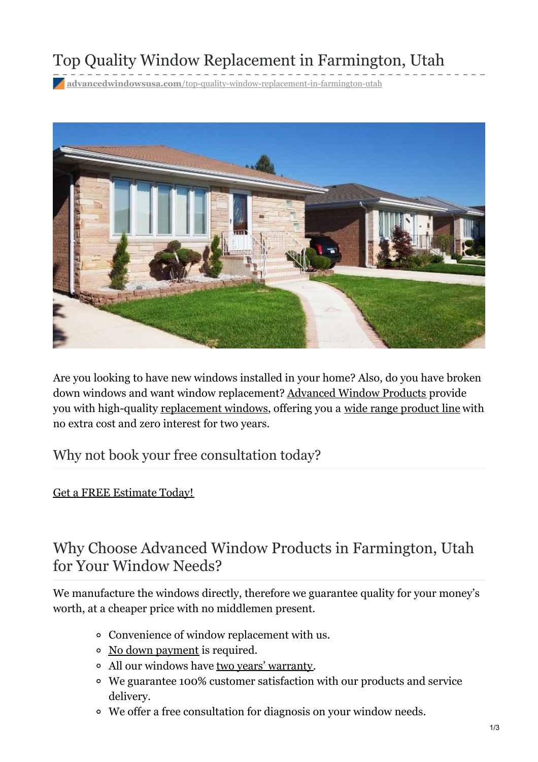# Top Quality Window Replacement in Farmington, Utah

**advancedwindowsusa.com**[/top-quality-window-replacement-in-farmington-utah](https://advancedwindowsusa.com/top-quality-window-replacement-in-farmington-utah)



Are you looking to have new windows installed in your home? Also, do you have broken down windows and want window replacement? [Advanced](https://advancedwindowsusa.com/) Window Products provide you with high-quality [replacement](https://advancedwindowsusa.com/salt-lake-city-window-replacement-company) windows, offering you a wide range [product](https://advancedwindowsusa.com/products) line with no extra cost and zero interest for two years.

Why not book your free consultation today?

Get a FREE [Estimate](tel:8015059622) Today!

### Why Choose Advanced Window Products in Farmington, Utah for Your Window Needs?

We manufacture the windows directly, therefore we guarantee quality for your money's worth, at a cheaper price with no middlemen present.

- Convenience of window replacement with us.
- No down [payment](https://advancedwindowsusa.com/home-improvement-financing) is required.
- All our windows have two years' [warranty](https://advancedwindowsusa.com/double-lifetime-warranty).
- We guarantee 100% customer satisfaction with our products and service delivery.
- We offer a free consultation for diagnosis on your window needs.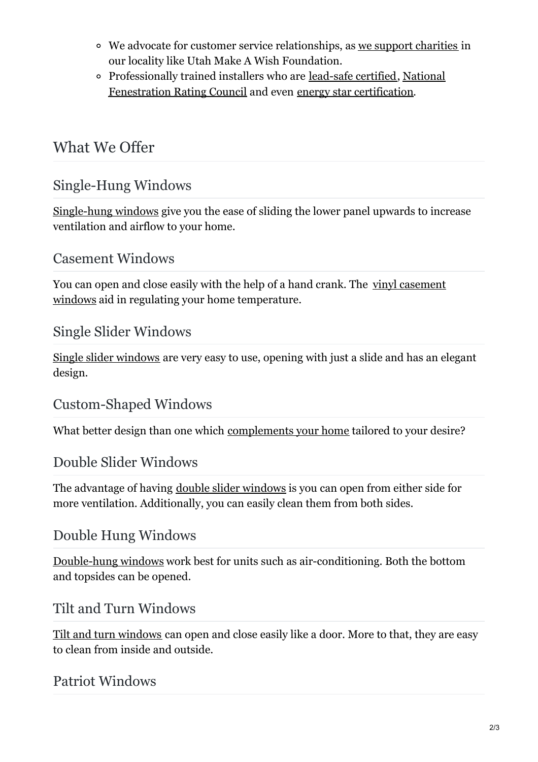- We advocate for customer service relationships, as we support [charities](https://advancedwindowsusa.com/charities) in our locality like Utah Make A Wish Foundation.
- [Professionally](https://advancedwindowsusa.com/certifications) trained installers who are [lead-safe](https://advancedwindowsusa.com/lead-safety) certified, National Fenestration Rating Council and even energy star [certification](https://advancedwindowsusa.com/earthwise-windows-and-doors).

## What We Offer

### Single-Hung Windows

[Single-hung](https://advancedwindowsusa.com/single-hung-windows) windows give you the ease of sliding the lower panel upwards to increase ventilation and airflow to your home.

#### Casement Windows

You can open and close easily with the help of a hand crank. The vinyl casement windows aid in regulating your home [temperature.](https://advancedwindowsusa.com/casement-windows-utah-imperial-line)

#### Single Slider Windows

Single slider [windows](https://advancedwindowsusa.com/single-slider-windows) are very easy to use, opening with just a slide and has an elegant design.

#### Custom-Shaped Windows

What better design than one which [complements](https://advancedwindowsusa.com/custom-shaped-windows) your home tailored to your desire?

#### Double Slider Windows

The advantage of having double slider [windows](https://advancedwindowsusa.com/double-slider-windows) is you can open from either side for more ventilation. Additionally, you can easily clean them from both sides.

#### Double Hung Windows

[Double-hung](https://advancedwindowsusa.com/double-hung-windows) windows work best for units such as air-conditioning. Both the bottom and topsides can be opened.

#### Tilt and Turn Windows

Tilt and turn [windows](https://advancedwindowsusa.com/tilt-turn-windows) can open and close easily like a door. More to that, they are easy to clean from inside and outside.

#### Patriot Windows